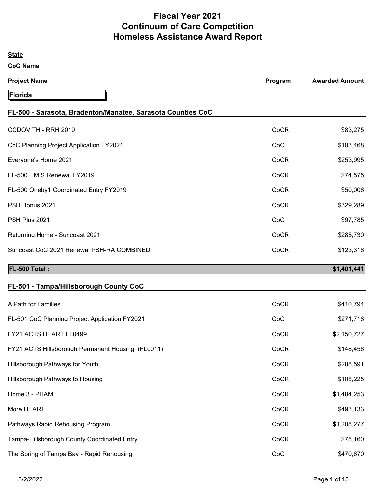# **Fiscal Year 2021 Continuum of Care Competition Homeless Assistance Award Report**

| <b>State</b>                                                |         |                       |
|-------------------------------------------------------------|---------|-----------------------|
| <b>CoC Name</b>                                             |         |                       |
| <b>Project Name</b>                                         | Program | <b>Awarded Amount</b> |
| Florida                                                     |         |                       |
| FL-500 - Sarasota, Bradenton/Manatee, Sarasota Counties CoC |         |                       |
| CCDOV TH - RRH 2019                                         | CoCR    | \$83,275              |
| CoC Planning Project Application FY2021                     | CoC     | \$103,468             |
| Everyone's Home 2021                                        | CoCR    | \$253,995             |
| FL-500 HMIS Renewal FY2019                                  | CoCR    | \$74,575              |
| FL-500 Oneby1 Coordinated Entry FY2019                      | CoCR    | \$50,006              |
| PSH Bonus 2021                                              | CoCR    | \$329,289             |
| PSH Plus 2021                                               | CoC     | \$97,785              |
| Returning Home - Suncoast 2021                              | CoCR    | \$285,730             |
| Suncoast CoC 2021 Renewal PSH-RA COMBINED                   | CoCR    | \$123,318             |
| FL-500 Total:                                               |         | \$1,401,441           |
| FL-501 - Tampa/Hillsborough County CoC                      |         |                       |
| A Path for Families                                         | CoCR    | \$410,794             |
| FL-501 CoC Planning Project Application FY2021              | CoC     | \$271,718             |
| FY21 ACTS HEART FL0499                                      | CoCR    | \$2,150,727           |
| FY21 ACTS Hillsborough Permanent Housing (FL0011)           | CoCR    | \$148,456             |
| Hillsborough Pathways for Youth                             | CoCR    | \$288,591             |
| Hillsborough Pathways to Housing                            | CoCR    | \$108,225             |
| Home 3 - PHAME                                              | CoCR    | \$1,484,253           |
| More HEART                                                  | CoCR    | \$493,133             |
| Pathways Rapid Rehousing Program                            | CoCR    | \$1,208,277           |
| Tampa-Hillsborough County Coordinated Entry                 | CoCR    | \$78,160              |
| The Spring of Tampa Bay - Rapid Rehousing                   | CoC     | \$470,670             |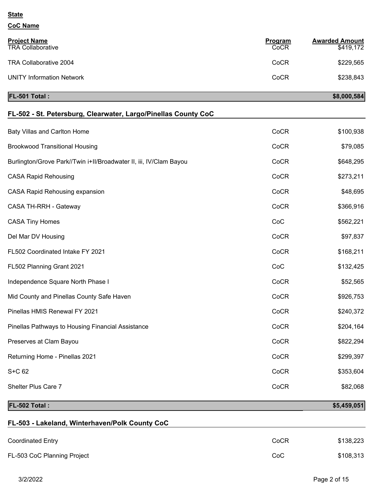### **CoC Name**

| <b>Project Name</b><br><b>TRA Collaborative</b> | Program<br>CoCR | <b>Awarded Amount</b><br>\$419,172 |
|-------------------------------------------------|-----------------|------------------------------------|
| TRA Collaborative 2004                          | CoCR            | \$229,565                          |
| <b>UNITY Information Network</b>                | CoCR            | \$238,843                          |

#### **FL-501 Total : \$8,000,584**

| FL-502 - St. Petersburg, Clearwater, Largo/Pinellas County CoC     |      |           |
|--------------------------------------------------------------------|------|-----------|
| Baty Villas and Carlton Home                                       | CoCR | \$100,938 |
| <b>Brookwood Transitional Housing</b>                              | CoCR | \$79,085  |
| Burlington/Grove Park//Twin i+II/Broadwater II, iii, IV/Clam Bayou | CoCR | \$648,295 |
| <b>CASA Rapid Rehousing</b>                                        | CoCR | \$273,211 |
| <b>CASA Rapid Rehousing expansion</b>                              | CoCR | \$48,695  |
| CASA TH-RRH - Gateway                                              | CoCR | \$366,916 |
| <b>CASA Tiny Homes</b>                                             | CoC  | \$562,221 |
| Del Mar DV Housing                                                 | CoCR | \$97,837  |
| FL502 Coordinated Intake FY 2021                                   | CoCR | \$168,211 |
| FL502 Planning Grant 2021                                          | CoC  | \$132,425 |
| Independence Square North Phase I                                  | CoCR | \$52,565  |
| Mid County and Pinellas County Safe Haven                          | CoCR | \$926,753 |
| Pinellas HMIS Renewal FY 2021                                      | CoCR | \$240,372 |
| Pinellas Pathways to Housing Financial Assistance                  | CoCR | \$204,164 |
| Preserves at Clam Bayou                                            | CoCR | \$822,294 |
| Returning Home - Pinellas 2021                                     | CoCR | \$299,397 |
| S+C 62                                                             | CoCR | \$353,604 |
| Shelter Plus Care 7                                                | CoCR | \$82,068  |
|                                                                    |      |           |

# **FL-503 - Lakeland, Winterhaven/Polk County CoC** Coordinated Entry **Coordinated Entry Coordinated Entry Coordinated Entry Coordinated Entry 138,223** FL-503 CoC Planning Project **Cock and Struck and Struck and Struck and Struck and Struck and Struck and Struck and Struck and Struck and Struck and Struck and Struck and Struck and Struck and Struck and Struck and Struck a**

**FL-502 Total : \$5,459,051**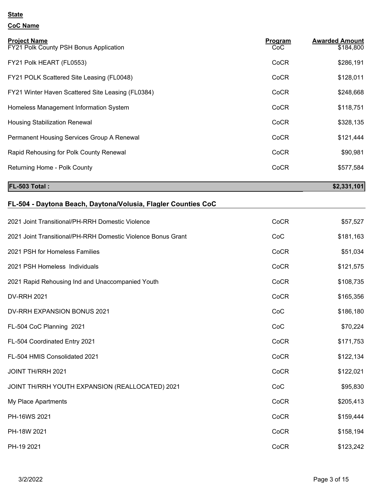# **CoC Name**

| <b>Project Name</b><br>FY21 Polk County PSH Bonus Application | <b>Program</b><br>CoC | <b>Awarded Amount</b><br>\$184,800 |
|---------------------------------------------------------------|-----------------------|------------------------------------|
| FY21 Polk HEART (FL0553)                                      | CoCR                  | \$286,191                          |
| FY21 POLK Scattered Site Leasing (FL0048)                     | CoCR                  | \$128,011                          |
| FY21 Winter Haven Scattered Site Leasing (FL0384)             | CoCR                  | \$248,668                          |
| Homeless Management Information System                        | CoCR                  | \$118,751                          |
| <b>Housing Stabilization Renewal</b>                          | CoCR                  | \$328,135                          |
| Permanent Housing Services Group A Renewal                    | CoCR                  | \$121,444                          |
| Rapid Rehousing for Polk County Renewal                       | CoCR                  | \$90,981                           |
| Returning Home - Polk County                                  | CoCR                  | \$577,584                          |
| <b>FL-503 Total:</b>                                          |                       | \$2,331,101                        |

| FL-504 - Daytona Beach, Daytona/Volusia, Flagler Counties CoC |  |
|---------------------------------------------------------------|--|
|---------------------------------------------------------------|--|

| 2021 Joint Transitional/PH-RRH Domestic Violence             | CoCR | \$57,527  |
|--------------------------------------------------------------|------|-----------|
|                                                              |      |           |
| 2021 Joint Transitional/PH-RRH Domestic Violence Bonus Grant | CoC  | \$181,163 |
| 2021 PSH for Homeless Families                               | CoCR | \$51,034  |
| 2021 PSH Homeless Individuals                                | CoCR | \$121,575 |
| 2021 Rapid Rehousing Ind and Unaccompanied Youth             | CoCR | \$108,735 |
| <b>DV-RRH 2021</b>                                           | CoCR | \$165,356 |
| DV-RRH EXPANSION BONUS 2021                                  | CoC  | \$186,180 |
| FL-504 CoC Planning 2021                                     | CoC  | \$70,224  |
| FL-504 Coordinated Entry 2021                                | CoCR | \$171,753 |
| FL-504 HMIS Consolidated 2021                                | CoCR | \$122,134 |
| JOINT TH/RRH 2021                                            | CoCR | \$122,021 |
| JOINT TH/RRH YOUTH EXPANSION (REALLOCATED) 2021              | CoC  | \$95,830  |
| My Place Apartments                                          | CoCR | \$205,413 |
| PH-16WS 2021                                                 | CoCR | \$159,444 |
| PH-18W 2021                                                  | CoCR | \$158,194 |
| PH-19 2021                                                   | CoCR | \$123,242 |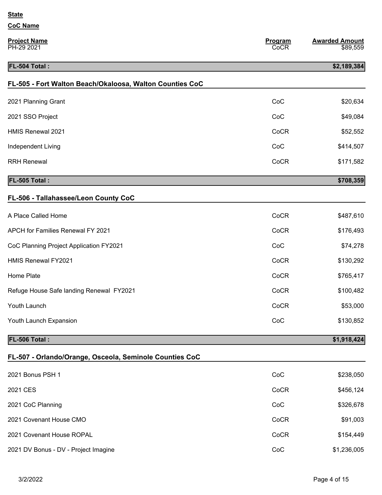| <b>CoC Name</b>                                          |                 |                                   |
|----------------------------------------------------------|-----------------|-----------------------------------|
| <b>Project Name</b><br>PH-29 2021                        | Program<br>CoCR | <b>Awarded Amount</b><br>\$89,559 |
| FL-504 Total :                                           |                 | \$2,189,384                       |
| FL-505 - Fort Walton Beach/Okaloosa, Walton Counties CoC |                 |                                   |
| 2021 Planning Grant                                      | CoC             | \$20,634                          |
| 2021 SSO Project                                         | CoC             | \$49,084                          |
| <b>HMIS Renewal 2021</b>                                 | CoCR            | \$52,552                          |
| Independent Living                                       | CoC             | \$414,507                         |
| <b>RRH Renewal</b>                                       | CoCR            | \$171,582                         |
| FL-505 Total:                                            |                 | \$708,359                         |
| FL-506 - Tallahassee/Leon County CoC                     |                 |                                   |
| A Place Called Home                                      | CoCR            | \$487,610                         |
| APCH for Families Renewal FY 2021                        | CoCR            | \$176,493                         |
| CoC Planning Project Application FY2021                  | CoC             | \$74,278                          |
| <b>HMIS Renewal FY2021</b>                               | CoCR            | \$130,292                         |
| Home Plate                                               | CoCR            | \$765,417                         |
| Refuge House Safe landing Renewal FY2021                 | CoCR            | \$100,482                         |
| Youth Launch                                             | CoCR            | \$53,000                          |
| Youth Launch Expansion                                   | CoC             | \$130,852                         |
| FL-506 Total:                                            |                 | \$1,918,424                       |
| FL-507 - Orlando/Orange, Osceola, Seminole Counties CoC  |                 |                                   |
| 2021 Bonus PSH 1                                         | CoC             | \$238,050                         |
| 2021 CES                                                 | CoCR            | \$456,124                         |
| 2021 CoC Planning                                        | CoC             | \$326,678                         |
| 2021 Covenant House CMO                                  | CoCR            | \$91,003                          |
| 2021 Covenant House ROPAL                                | CoCR            | \$154,449                         |
| 2021 DV Bonus - DV - Project Imagine                     | CoC             | \$1,236,005                       |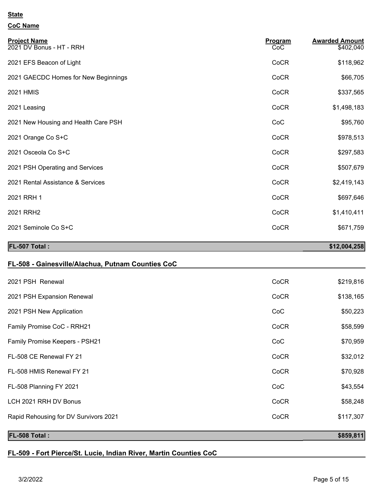#### **CoC Name**

| <b>Project Name</b><br>2021 DV Bonus - HT - RRH | Program<br>CoC | <b>Awarded Amount</b><br>\$402,040 |
|-------------------------------------------------|----------------|------------------------------------|
| 2021 EFS Beacon of Light                        | CoCR           | \$118,962                          |
| 2021 GAECDC Homes for New Beginnings            | CoCR           | \$66,705                           |
| <b>2021 HMIS</b>                                | CoCR           | \$337,565                          |
| 2021 Leasing                                    | CoCR           | \$1,498,183                        |
| 2021 New Housing and Health Care PSH            | CoC            | \$95,760                           |
| 2021 Orange Co S+C                              | CoCR           | \$978,513                          |
| 2021 Osceola Co S+C                             | CoCR           | \$297,583                          |
| 2021 PSH Operating and Services                 | CoCR           | \$507,679                          |
| 2021 Rental Assistance & Services               | CoCR           | \$2,419,143                        |
| 2021 RRH 1                                      | CoCR           | \$697,646                          |
| 2021 RRH2                                       | CoCR           | \$1,410,411                        |
| 2021 Seminole Co S+C                            | CoCR           | \$671,759                          |
| FL-507 Total:                                   |                | \$12,004,258                       |

#### **FL-508 - Gainesville/Alachua, Putnam Counties CoC**

| <b>FL-508 Total:</b>                  |      | \$859,811 |
|---------------------------------------|------|-----------|
| Rapid Rehousing for DV Survivors 2021 | CoCR | \$117,307 |
| LCH 2021 RRH DV Bonus                 | CoCR | \$58,248  |
| FL-508 Planning FY 2021               | CoC  | \$43,554  |
| FL-508 HMIS Renewal FY 21             | CoCR | \$70,928  |
| FL-508 CE Renewal FY 21               | CoCR | \$32,012  |
| Family Promise Keepers - PSH21        | CoC  | \$70,959  |
| Family Promise CoC - RRH21            | CoCR | \$58,599  |
| 2021 PSH New Application              | CoC  | \$50,223  |
| 2021 PSH Expansion Renewal            | CoCR | \$138,165 |
| 2021 PSH Renewal                      | CoCR | \$219,816 |
|                                       |      |           |

#### **FL-509 - Fort Pierce/St. Lucie, Indian River, Martin Counties CoC**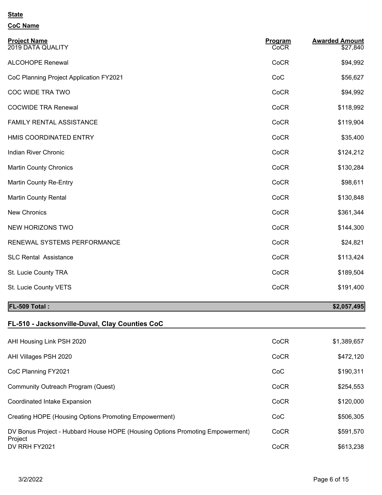# **CoC Name**

| <b>Project Name</b><br>2019 DATA QUALITY | Program<br>CoCR | <b>Awarded Amount</b><br>\$27,840 |
|------------------------------------------|-----------------|-----------------------------------|
| <b>ALCOHOPE Renewal</b>                  | CoCR            | \$94,992                          |
| CoC Planning Project Application FY2021  | CoC             | \$56,627                          |
| COC WIDE TRA TWO                         | CoCR            | \$94,992                          |
| <b>COCWIDE TRA Renewal</b>               | CoCR            | \$118,992                         |
| FAMILY RENTAL ASSISTANCE                 | CoCR            | \$119,904                         |
| HMIS COORDINATED ENTRY                   | CoCR            | \$35,400                          |
| Indian River Chronic                     | CoCR            | \$124,212                         |
| <b>Martin County Chronics</b>            | CoCR            | \$130,284                         |
| Martin County Re-Entry                   | CoCR            | \$98,611                          |
| <b>Martin County Rental</b>              | CoCR            | \$130,848                         |
| New Chronics                             | CoCR            | \$361,344                         |
| NEW HORIZONS TWO                         | CoCR            | \$144,300                         |
| RENEWAL SYSTEMS PERFORMANCE              | CoCR            | \$24,821                          |
| <b>SLC Rental Assistance</b>             | CoCR            | \$113,424                         |
| St. Lucie County TRA                     | CoCR            | \$189,504                         |
| St. Lucie County VETS                    | CoCR            | \$191,400                         |

### **FL-509 Total : \$2,057,495**

### **FL-510 - Jacksonville-Duval, Clay Counties CoC**

| AHI Housing Link PSH 2020                                                                | CoCR | \$1,389,657 |
|------------------------------------------------------------------------------------------|------|-------------|
| AHI Villages PSH 2020                                                                    | CoCR | \$472,120   |
| CoC Planning FY2021                                                                      | CoC  | \$190,311   |
| Community Outreach Program (Quest)                                                       | CoCR | \$254,553   |
| Coordinated Intake Expansion                                                             | CoCR | \$120,000   |
| Creating HOPE (Housing Options Promoting Empowerment)                                    | CoC  | \$506,305   |
| DV Bonus Project - Hubbard House HOPE (Housing Options Promoting Empowerment)<br>Project | CoCR | \$591,570   |
| DV RRH FY2021                                                                            | CoCR | \$613,238   |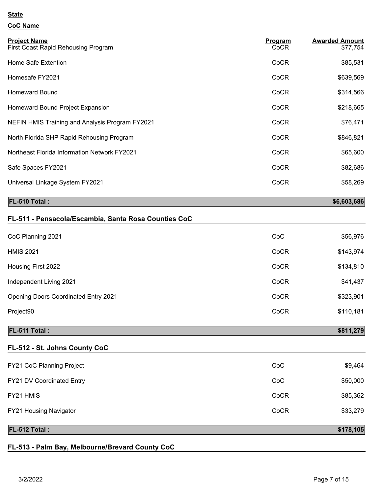#### **CoC Name**

| <b>Project Name</b><br>First Coast Rapid Rehousing Program | Program<br><b>CoCR</b> | <b>Awarded Amount</b><br>\$77,754 |
|------------------------------------------------------------|------------------------|-----------------------------------|
| Home Safe Extention                                        | CoCR                   | \$85,531                          |
| Homesafe FY2021                                            | CoCR                   | \$639,569                         |
| <b>Homeward Bound</b>                                      | CoCR                   | \$314,566                         |
| Homeward Bound Project Expansion                           | CoCR                   | \$218,665                         |
| NEFIN HMIS Training and Analysis Program FY2021            | CoCR                   | \$76,471                          |
| North Florida SHP Rapid Rehousing Program                  | CoCR                   | \$846,821                         |
| Northeast Florida Information Network FY2021               | CoCR                   | \$65,600                          |
| Safe Spaces FY2021                                         | CoCR                   | \$82,686                          |
| Universal Linkage System FY2021                            | CoCR                   | \$58,269                          |
|                                                            |                        |                                   |

### **FL-510 Total :** \$6,603,686<sup>1</sup>

| FL-511 - Pensacola/Escambia, Santa Rosa Counties CoC |      |           |
|------------------------------------------------------|------|-----------|
| CoC Planning 2021                                    | CoC  | \$56,976  |
| <b>HMIS 2021</b>                                     | CoCR | \$143,974 |
| Housing First 2022                                   | CoCR | \$134,810 |
| Independent Living 2021                              | CoCR | \$41,437  |
| <b>Opening Doors Coordinated Entry 2021</b>          | CoCR | \$323,901 |
| Project90                                            | CoCR | \$110,181 |
| FL-511 Total:                                        |      | \$811,279 |

### **FL-512 - St. Johns County CoC**

| FL-512 Total:                    |      | \$178,105 |
|----------------------------------|------|-----------|
| <b>FY21 Housing Navigator</b>    | CoCR | \$33,279  |
| FY21 HMIS                        | CoCR | \$85,362  |
| <b>FY21 DV Coordinated Entry</b> | CoC  | \$50,000  |
| <b>FY21 CoC Planning Project</b> | CoC  | \$9,464   |

#### **FL-513 - Palm Bay, Melbourne/Brevard County CoC**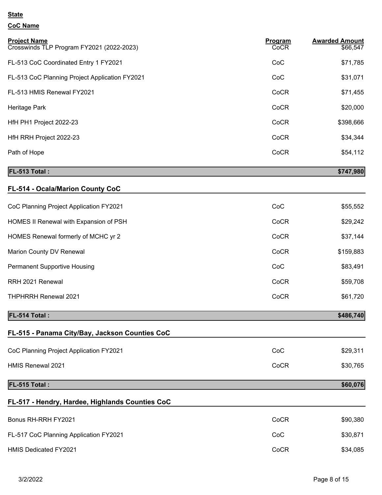### **CoC Name**

| <b>Project Name</b><br>Crosswinds TLP Program FY2021 (2022-2023) | Program<br>CoCR | <b>Awarded Amount</b><br>\$66,547 |
|------------------------------------------------------------------|-----------------|-----------------------------------|
| FL-513 CoC Coordinated Entry 1 FY2021                            | CoC             | \$71,785                          |
| FL-513 CoC Planning Project Application FY2021                   | CoC             | \$31,071                          |
| FL-513 HMIS Renewal FY2021                                       | CoCR            | \$71,455                          |
| Heritage Park                                                    | CoCR            | \$20,000                          |
| HfH PH1 Project 2022-23                                          | CoCR            | \$398,666                         |
| HfH RRH Project 2022-23                                          | CoCR            | \$34,344                          |
| Path of Hope                                                     | CoCR            | \$54,112                          |
| <b>FL-513 Total:</b>                                             |                 | \$747,980                         |
| <b>FL-514 - Ocala/Marion County CoC</b>                          |                 |                                   |

| CoC Planning Project Application FY2021 | CoC  | \$55,552  |
|-----------------------------------------|------|-----------|
| HOMES II Renewal with Expansion of PSH  | CoCR | \$29,242  |
| HOMES Renewal formerly of MCHC yr 2     | CoCR | \$37,144  |
| Marion County DV Renewal                | CoCR | \$159,883 |
| <b>Permanent Supportive Housing</b>     | CoC  | \$83,491  |
| RRH 2021 Renewal                        | CoCR | \$59,708  |
| <b>THPHRRH Renewal 2021</b>             | CoCR | \$61,720  |

#### **FL-514 Total :** \$486,740

# **FL-515 - Panama City/Bay, Jackson Counties CoC** CoC Planning Project Application FY2021 CoC COC \$29,311 HMIS Renewal 2021 **Cock and Struck and Struck and Struck and Struck and Struck and Struck and Struck and Struck and Struck and Struck and Struck and Struck and Struck and Struck and Struck and Struck and Struck and Struck FL-515 Total :** \$60,076

# **FL-517 - Hendry, Hardee, Highlands Counties CoC**

| Bonus RH-RRH FY2021                    | CoCR | \$90,380 |
|----------------------------------------|------|----------|
| FL-517 CoC Planning Application FY2021 | CoC  | \$30,871 |
| <b>HMIS Dedicated FY2021</b>           | CoCR | \$34,085 |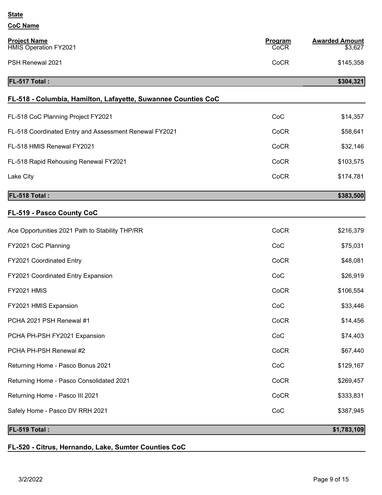| <b>CoC Name</b>                                               |                 |                                  |
|---------------------------------------------------------------|-----------------|----------------------------------|
| <b>Project Name</b><br><b>HMIS Operation FY2021</b>           | Program<br>CoCR | <b>Awarded Amount</b><br>\$3,627 |
| PSH Renewal 2021                                              | CoCR            | \$145,358                        |
| FL-517 Total:                                                 |                 | \$304,321                        |
| FL-518 - Columbia, Hamilton, Lafayette, Suwannee Counties CoC |                 |                                  |
| FL-518 CoC Planning Project FY2021                            | CoC             | \$14,357                         |
| FL-518 Coordinated Entry and Assessment Renewal FY2021        | CoCR            | \$58,641                         |
| FL-518 HMIS Renewal FY2021                                    | CoCR            | \$32,146                         |
| FL-518 Rapid Rehousing Renewal FY2021                         | CoCR            | \$103,575                        |
| Lake City                                                     | CoCR            | \$174,781                        |
| FL-518 Total:                                                 |                 | \$383,500                        |
| FL-519 - Pasco County CoC                                     |                 |                                  |
| Ace Opportunities 2021 Path to Stability THP/RR               | CoCR            | \$216,379                        |
| FY2021 CoC Planning                                           | CoC             | \$75,031                         |
| FY2021 Coordinated Entry                                      | CoCR            | \$48,081                         |
| FY2021 Coordinated Entry Expansion                            | CoC             | \$26,919                         |
| <b>FY2021 HMIS</b>                                            | CoCR            | \$106,554                        |
| FY2021 HMIS Expansion                                         | CoC             | \$33,446                         |
| PCHA 2021 PSH Renewal #1                                      | CoCR            | \$14,456                         |
| PCHA PH-PSH FY2021 Expansion                                  | CoC             | \$74,403                         |
| PCHA PH-PSH Renewal #2                                        | CoCR            | \$67,440                         |
| Returning Home - Pasco Bonus 2021                             | CoC             | \$129,167                        |
| Returning Home - Pasco Consolidated 2021                      | CoCR            | \$269,457                        |
| Returning Home - Pasco III 2021                               | CoCR            | \$333,831                        |
| Safely Home - Pasco DV RRH 2021                               | CoC             | \$387,945                        |
|                                                               |                 |                                  |

## **FL-519 Total : \$1,783,109**

### **FL-520 - Citrus, Hernando, Lake, Sumter Counties CoC**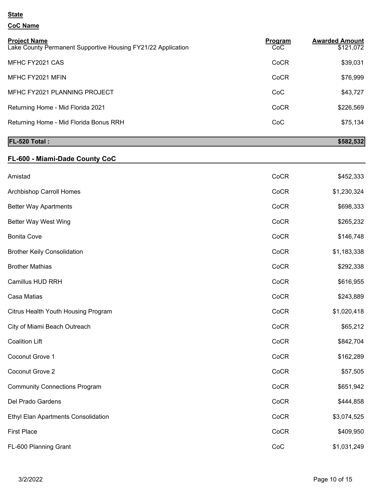### **CoC Name**

| <b>Project Name</b><br>Lake County Permanent Supportive Housing FY21/22 Application | Program<br>CoC | <b>Awarded Amount</b><br>\$121,072 |
|-------------------------------------------------------------------------------------|----------------|------------------------------------|
| MFHC FY2021 CAS                                                                     | CoCR           | \$39,031                           |
| MFHC FY2021 MFIN                                                                    | CoCR           | \$76,999                           |
| MFHC FY2021 PLANNING PROJECT                                                        | CoC            | \$43,727                           |
| Returning Home - Mid Florida 2021                                                   | CoCR           | \$226,569                          |
| Returning Home - Mid Florida Bonus RRH                                              | CoC            | \$75,134                           |

#### **FL-520 Total :** \$582,532

### **FL-600 - Miami-Dade County CoC**

| Amistad                              | CoCR | \$452,333   |
|--------------------------------------|------|-------------|
| Archbishop Carroll Homes             | CoCR | \$1,230,324 |
| <b>Better Way Apartments</b>         | CoCR | \$698,333   |
| <b>Better Way West Wing</b>          | CoCR | \$265,232   |
| <b>Bonita Cove</b>                   | CoCR | \$146,748   |
| <b>Brother Keily Consolidation</b>   | CoCR | \$1,183,338 |
| <b>Brother Mathias</b>               | CoCR | \$292,338   |
| Camillus HUD RRH                     | CoCR | \$616,955   |
| Casa Matias                          | CoCR | \$243,889   |
| Citrus Health Youth Housing Program  | CoCR | \$1,020,418 |
| City of Miami Beach Outreach         | CoCR | \$65,212    |
| <b>Coalition Lift</b>                | CoCR | \$842,704   |
| Coconut Grove 1                      | CoCR | \$162,289   |
| Coconut Grove 2                      | CoCR | \$57,505    |
| <b>Community Connections Program</b> | CoCR | \$651,942   |
| Del Prado Gardens                    | CoCR | \$444,858   |
| Ethyl Elan Apartments Consolidation  | CoCR | \$3,074,525 |
| <b>First Place</b>                   | CoCR | \$409,950   |
| FL-600 Planning Grant                | CoC  | \$1,031,249 |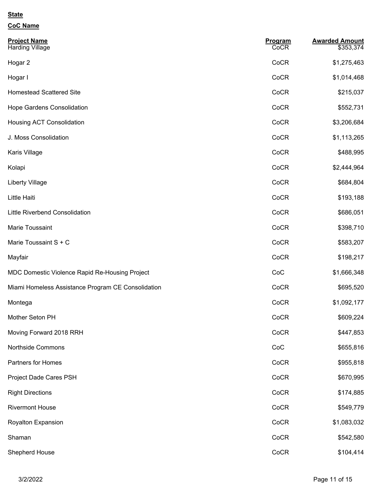### **CoC Name**

| <b>Project Name</b><br><b>Harding Village</b>      | Program<br>CoCR | <b>Awarded Amount</b><br>\$353,374 |
|----------------------------------------------------|-----------------|------------------------------------|
| Hogar 2                                            | CoCR            | \$1,275,463                        |
| Hogar I                                            | CoCR            | \$1,014,468                        |
| <b>Homestead Scattered Site</b>                    | CoCR            | \$215,037                          |
| Hope Gardens Consolidation                         | CoCR            | \$552,731                          |
| Housing ACT Consolidation                          | CoCR            | \$3,206,684                        |
| J. Moss Consolidation                              | CoCR            | \$1,113,265                        |
| Karis Village                                      | CoCR            | \$488,995                          |
| Kolapi                                             | CoCR            | \$2,444,964                        |
| <b>Liberty Village</b>                             | CoCR            | \$684,804                          |
| Little Haiti                                       | CoCR            | \$193,188                          |
| <b>Little Riverbend Consolidation</b>              | CoCR            | \$686,051                          |
| Marie Toussaint                                    | CoCR            | \$398,710                          |
| Marie Toussaint S + C                              | CoCR            | \$583,207                          |
| Mayfair                                            | CoCR            | \$198,217                          |
| MDC Domestic Violence Rapid Re-Housing Project     | CoC             | \$1,666,348                        |
| Miami Homeless Assistance Program CE Consolidation | CoCR            | \$695,520                          |
| Montega                                            | CoCR            | \$1,092,177                        |
| Mother Seton PH                                    | CoCR            | \$609,224                          |
| Moving Forward 2018 RRH                            | CoCR            | \$447,853                          |
| Northside Commons                                  | CoC             | \$655,816                          |
| Partners for Homes                                 | CoCR            | \$955,818                          |
| Project Dade Cares PSH                             | CoCR            | \$670,995                          |
| <b>Right Directions</b>                            | CoCR            | \$174,885                          |
| <b>Rivermont House</b>                             | CoCR            | \$549,779                          |
| Royalton Expansion                                 | CoCR            | \$1,083,032                        |
| Shaman                                             | CoCR            | \$542,580                          |
| Shepherd House                                     | CoCR            | \$104,414                          |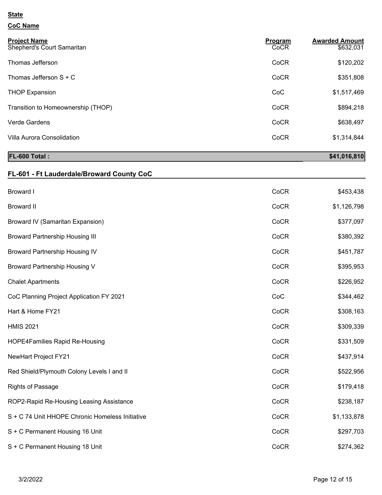### **CoC Name**

| <b>Project Name</b><br>Shepherd's Court Samaritan | Program<br>CoCR | <b>Awarded Amount</b><br>\$632,031 |
|---------------------------------------------------|-----------------|------------------------------------|
| Thomas Jefferson                                  | CoCR            | \$120,202                          |
| Thomas Jefferson $S + C$                          | CoCR            | \$351,808                          |
| <b>THOP Expansion</b>                             | CoC             | \$1,517,469                        |
| Transition to Homeownership (THOP)                | CoCR            | \$894,218                          |
| Verde Gardens                                     | CoCR            | \$638,497                          |
| Villa Aurora Consolidation                        | CoCR            | \$1,314,844                        |

# **FL-600 Total : \$41,016,810**

# **FL-601 - Ft Lauderdale/Broward County CoC**

| <b>Broward I</b>                                | CoCR | \$453,438   |
|-------------------------------------------------|------|-------------|
| <b>Broward II</b>                               | CoCR | \$1,126,798 |
| Broward IV (Samaritan Expansion)                | CoCR | \$377,097   |
| <b>Broward Partnership Housing III</b>          | CoCR | \$380,392   |
| <b>Broward Partnership Housing IV</b>           | CoCR | \$451,787   |
| <b>Broward Partnership Housing V</b>            | CoCR | \$395,953   |
| <b>Chalet Apartments</b>                        | CoCR | \$226,952   |
| CoC Planning Project Application FY 2021        | CoC  | \$344,462   |
| Hart & Home FY21                                | CoCR | \$308,163   |
| <b>HMIS 2021</b>                                | CoCR | \$309,339   |
| <b>HOPE4Families Rapid Re-Housing</b>           | CoCR | \$331,509   |
| NewHart Project FY21                            | CoCR | \$437,914   |
| Red Shield/Plymouth Colony Levels I and II      | CoCR | \$522,956   |
| <b>Rights of Passage</b>                        | CoCR | \$179,418   |
| ROP2-Rapid Re-Housing Leasing Assistance        | CoCR | \$238,187   |
| S + C 74 Unit HHOPE Chronic Homeless Initiative | CoCR | \$1,133,878 |
| S + C Permanent Housing 16 Unit                 | CoCR | \$297,703   |
| S + C Permanent Housing 18 Unit                 | CoCR | \$274,362   |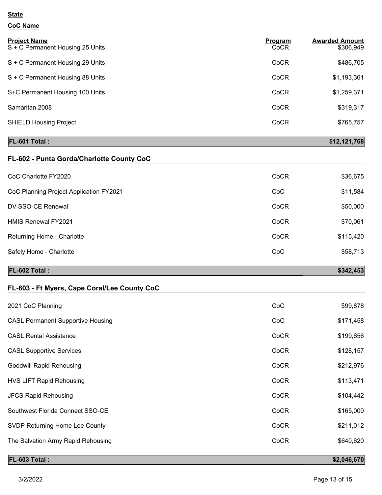#### **CoC Name**

| <b>Project Name</b><br>S + C Permanent Housing 25 Units | Program<br>CoCR | <b>Awarded Amount</b><br>\$306,949 |
|---------------------------------------------------------|-----------------|------------------------------------|
| S + C Permanent Housing 29 Units                        | CoCR            | \$486,705                          |
| S + C Permanent Housing 88 Units                        | CoCR            | \$1,193,361                        |
| S+C Permanent Housing 100 Units                         | CoCR            | \$1,259,371                        |
| Samaritan 2008                                          | CoCR            | \$319,317                          |
| <b>SHIELD Housing Project</b>                           | CoCR            | \$765,757                          |
|                                                         |                 |                                    |

#### **FL-601 Total : \$12,121,768**

| FL-602 - Punta Gorda/Charlotte County CoC |      |           |
|-------------------------------------------|------|-----------|
| CoC Charlotte FY2020                      | CoCR | \$36,675  |
| CoC Planning Project Application FY2021   | CoC  | \$11,584  |
| DV SSO-CE Renewal                         | CoCR | \$50,000  |
| <b>HMIS Renewal FY2021</b>                | CoCR | \$70,061  |
| Returning Home - Charlotte                | CoCR | \$115,420 |
| Safely Home - Charlotte                   | CoC  | \$58,713  |
| <b>FL-602 Total:</b>                      |      | \$342,453 |

### **FL-603 - Ft Myers, Cape Coral/Lee County CoC**

| 2021 CoC Planning                        | CoC  | \$99,878  |
|------------------------------------------|------|-----------|
| <b>CASL Permanent Supportive Housing</b> | CoC  | \$171,458 |
| <b>CASL Rental Assistance</b>            | CoCR | \$199,656 |
| <b>CASL Supportive Services</b>          | CoCR | \$128,157 |
| <b>Goodwill Rapid Rehousing</b>          | CoCR | \$212,976 |
| <b>HVS LIFT Rapid Rehousing</b>          | CoCR | \$113,471 |
| <b>JFCS Rapid Rehousing</b>              | CoCR | \$104,442 |
| Southwest Florida Connect SSO-CE         | CoCR | \$165,000 |
| SVDP Returning Home Lee County           | CoCR | \$211,012 |
| The Salvation Army Rapid Rehousing       | CoCR | \$640,620 |
|                                          |      |           |

### **FL-603 Total : \$2,046,670**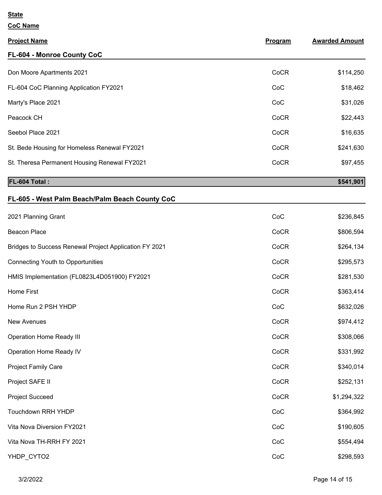| <b>Project Name</b>                                    | Program | <b>Awarded Amount</b> |
|--------------------------------------------------------|---------|-----------------------|
| FL-604 - Monroe County CoC                             |         |                       |
| Don Moore Apartments 2021                              | CoCR    | \$114,250             |
| FL-604 CoC Planning Application FY2021                 | CoC     | \$18,462              |
| Marty's Place 2021                                     | CoC     | \$31,026              |
| Peacock CH                                             | CoCR    | \$22,443              |
| Seebol Place 2021                                      | CoCR    | \$16,635              |
| St. Bede Housing for Homeless Renewal FY2021           | CoCR    | \$241,630             |
| St. Theresa Permanent Housing Renewal FY2021           | CoCR    | \$97,455              |
| FL-604 Total:                                          |         | \$541,901             |
| FL-605 - West Palm Beach/Palm Beach County CoC         |         |                       |
| 2021 Planning Grant                                    | CoC     | \$236,845             |
| <b>Beacon Place</b>                                    | CoCR    | \$806,594             |
| Bridges to Success Renewal Project Application FY 2021 | CoCR    | \$264,134             |
| <b>Connecting Youth to Opportunities</b>               | CoCR    | \$295,573             |
| HMIS Implementation (FL0823L4D051900) FY2021           | CoCR    | \$281,530             |
| $112 \text{ m}$ $\sim$ $100 \text{ m}$                 | 0.05    | 0.00011               |

| HMIS Implementation (FL0823L4D051900) FY2021 | CoCR | \$281,530   |
|----------------------------------------------|------|-------------|
| Home First                                   | CoCR | \$363,414   |
| Home Run 2 PSH YHDP                          | CoC  | \$632,026   |
| <b>New Avenues</b>                           | CoCR | \$974,412   |
| <b>Operation Home Ready III</b>              | CoCR | \$308,066   |
| Operation Home Ready IV                      | CoCR | \$331,992   |
| <b>Project Family Care</b>                   | CoCR | \$340,014   |
| Project SAFE II                              | CoCR | \$252,131   |
| <b>Project Succeed</b>                       | CoCR | \$1,294,322 |
| Touchdown RRH YHDP                           | CoC  | \$364,992   |
| Vita Nova Diversion FY2021                   | CoC  | \$190,605   |
| Vita Nova TH-RRH FY 2021                     | CoC  | \$554,494   |
| YHDP CYTO2                                   | CoC  | \$298,593   |